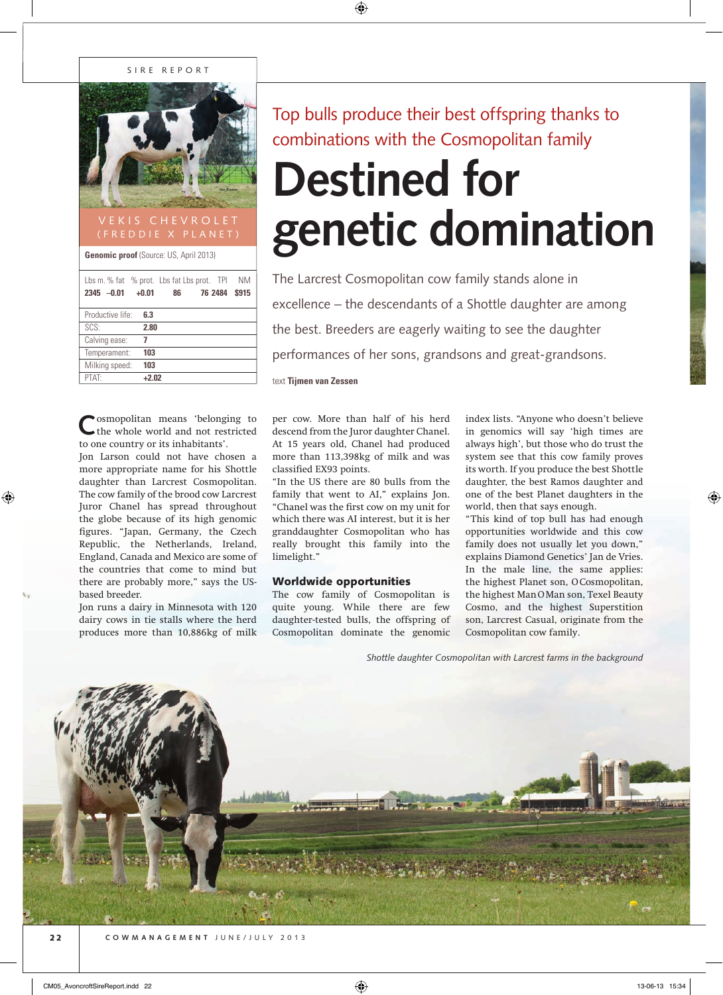### SIRE REPORT



**Genomic proof** (Source: US, April 2013)

| Lbs m. % fat % prot. Lbs fat Lbs prot. TPI<br>$2345 -0.01$ | $+0.01$ | 86 | 76 2484 | ΝM<br>\$915 |
|------------------------------------------------------------|---------|----|---------|-------------|
| Productive life:                                           | 6.3     |    |         |             |
| SCS:                                                       | 2.80    |    |         |             |
| Calving ease:                                              | 7       |    |         |             |
| Temperament:                                               | 103     |    |         |             |
| Milking speed:                                             | 103     |    |         |             |
| <b>PTAT</b>                                                | $+2.02$ |    |         |             |

osmopolitan means 'belonging to the whole world and not restricted to one country or its inhabitants'.

Jon Larson could not have chosen a more appropriate name for his Shottle daughter than Larcrest Cosmopolitan. The cow family of the brood cow Larcrest Juror Chanel has spread throughout the globe because of its high genomic figures. "Japan, Germany, the Czech Republic, the Netherlands, Ireland, England, Canada and Mexico are some of the countries that come to mind but there are probably more," says the USbased breeder.

Jon runs a dairy in Minnesota with 120 dairy cows in tie stalls where the herd produces more than 10,886kg of milk Top bulls produce their best offspring thanks to combinations with the Cosmopolitan family

# **Destined for genetic domination**

The Larcrest Cosmopolitan cow family stands alone in excellence – the descendants of a Shottle daughter are among the best. Breeders are eagerly waiting to see the daughter performances of her sons, grandsons and great-grandsons.

text **Tijmen van Zessen**

per cow. More than half of his herd descend from the Juror daughter Chanel. At 15 years old, Chanel had produced more than 113,398kg of milk and was classified EX93 points.

"In the US there are 80 bulls from the family that went to AI," explains Jon. "Chanel was the first cow on my unit for which there was AI interest, but it is her granddaughter Cosmopolitan who has really brought this family into the limelight."

## Worldwide opportunities

The cow family of Cosmopolitan is quite young. While there are few daughter-tested bulls, the offspring of Cosmopolitan dominate the genomic

index lists. "Anyone who doesn't believe in genomics will say 'high times are always high', but those who do trust the system see that this cow family proves its worth. If you produce the best Shottle daughter, the best Ramos daughter and one of the best Planet daughters in the world, then that says enough.

"This kind of top bull has had enough opportunities worldwide and this cow family does not usually let you down," explains Diamond Genetics' Jan de Vries. In the male line, the same applies: the highest Planet son, O Cosmopolitan, the highest Man O Man son, Texel Beauty Cosmo, and the highest Superstition son, Larcrest Casual, originate from the Cosmopolitan cow family.

*Shottle daughter Cosmopolitan with Larcrest farms in the background*